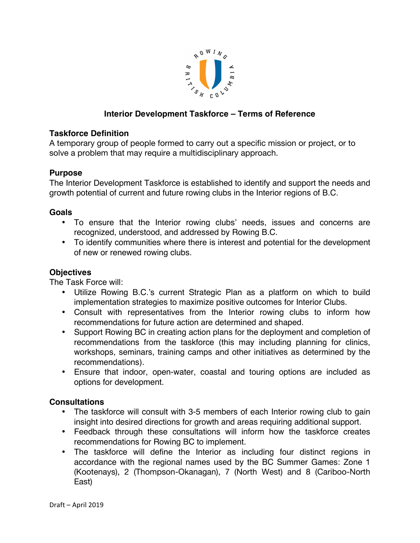

# **Interior Development Taskforce – Terms of Reference**

### **Taskforce Definition**

A temporary group of people formed to carry out a specific mission or project, or to solve a problem that may require a multidisciplinary approach.

#### **Purpose**

The Interior Development Taskforce is established to identify and support the needs and growth potential of current and future rowing clubs in the Interior regions of B.C.

#### **Goals**

- To ensure that the Interior rowing clubs' needs, issues and concerns are recognized, understood, and addressed by Rowing B.C.
- To identify communities where there is interest and potential for the development of new or renewed rowing clubs.

### **Objectives**

The Task Force will:

- Utilize Rowing B.C.'s current Strategic Plan as a platform on which to build implementation strategies to maximize positive outcomes for Interior Clubs.
- Consult with representatives from the Interior rowing clubs to inform how recommendations for future action are determined and shaped.
- Support Rowing BC in creating action plans for the deployment and completion of recommendations from the taskforce (this may including planning for clinics, workshops, seminars, training camps and other initiatives as determined by the recommendations).
- Ensure that indoor, open-water, coastal and touring options are included as options for development.

### **Consultations**

- The taskforce will consult with 3-5 members of each Interior rowing club to gain insight into desired directions for growth and areas requiring additional support.
- Feedback through these consultations will inform how the taskforce creates recommendations for Rowing BC to implement.
- The taskforce will define the Interior as including four distinct regions in accordance with the regional names used by the BC Summer Games: Zone 1 (Kootenays), 2 (Thompson-Okanagan), 7 (North West) and 8 (Cariboo-North East)